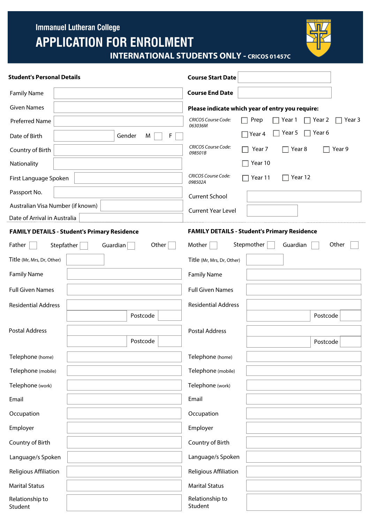**Immanuel Lutheran College** 

# **APPLICATION FOR ENROLMENT**



**INTERNATIONAL STUDENTS ONLY - CRICOS 01457C**

| <b>Student's Personal Details</b>                   |          |                                                     | <b>Course Start Date</b>                         |               |          |          |        |
|-----------------------------------------------------|----------|-----------------------------------------------------|--------------------------------------------------|---------------|----------|----------|--------|
| <b>Family Name</b>                                  |          |                                                     | <b>Course End Date</b>                           |               |          |          |        |
| <b>Given Names</b>                                  |          |                                                     | Please indicate which year of entry you require: |               |          |          |        |
| Preferred Name                                      |          |                                                     | <b>CRICOS Course Code:</b><br>063036M            | Prep          | Year 1   | Year 2   | Year 3 |
| Date of Birth                                       |          | F<br>Gender<br>M                                    |                                                  | ∏ Year 4      | Year 5   | Year 6   |        |
| Country of Birth                                    |          |                                                     | <b>CRICOS Course Code:</b><br>098501B            | Year 7<br>- 1 | Year 8   |          | Year 9 |
| Nationality                                         |          |                                                     |                                                  | Year 10       |          |          |        |
| First Language Spoken                               |          |                                                     | <b>CRICOS Course Code:</b><br>098502A            | Year 11       | Year 12  |          |        |
| Passport No.                                        |          |                                                     | <b>Current School</b>                            |               |          |          |        |
| Australian Visa Number (if known)                   |          | <b>Current Year Level</b>                           |                                                  |               |          |          |        |
| Date of Arrival in Australia                        |          |                                                     |                                                  |               |          |          |        |
| <b>FAMILY DETAILS - Student's Primary Residence</b> |          | <b>FAMILY DETAILS - Student's Primary Residence</b> |                                                  |               |          |          |        |
| Father<br>Stepfather                                | Guardian | Other                                               | Mother                                           | Stepmother    | Guardian | Other    |        |
| Title (Mr, Mrs, Dr, Other)                          |          |                                                     | Title (Mr, Mrs, Dr, Other)                       |               |          |          |        |
| <b>Family Name</b>                                  |          |                                                     | <b>Family Name</b>                               |               |          |          |        |
| <b>Full Given Names</b>                             |          |                                                     | <b>Full Given Names</b>                          |               |          |          |        |
| <b>Residential Address</b>                          |          |                                                     | <b>Residential Address</b>                       |               |          |          |        |
|                                                     |          | Postcode                                            |                                                  |               |          | Postcode |        |
| <b>Postal Address</b>                               |          |                                                     | <b>Postal Address</b>                            |               |          |          |        |
|                                                     |          | Postcode                                            |                                                  |               |          | Postcode |        |
| Telephone (home)                                    |          |                                                     | Telephone (home)                                 |               |          |          |        |
| Telephone (mobile)                                  |          |                                                     | Telephone (mobile)                               |               |          |          |        |
| Telephone (work)                                    |          |                                                     | Telephone (work)                                 |               |          |          |        |
| Email                                               |          |                                                     | Email                                            |               |          |          |        |
| Occupation                                          |          |                                                     | Occupation                                       |               |          |          |        |
| Employer                                            |          |                                                     | Employer                                         |               |          |          |        |
| Country of Birth                                    |          |                                                     | Country of Birth                                 |               |          |          |        |
| Language/s Spoken                                   |          |                                                     | Language/s Spoken                                |               |          |          |        |
| Religious Affiliation                               |          |                                                     | Religious Affiliation                            |               |          |          |        |
| <b>Marital Status</b>                               |          |                                                     | <b>Marital Status</b>                            |               |          |          |        |
| Relationship to<br>Student                          |          |                                                     | Relationship to<br>Student                       |               |          |          |        |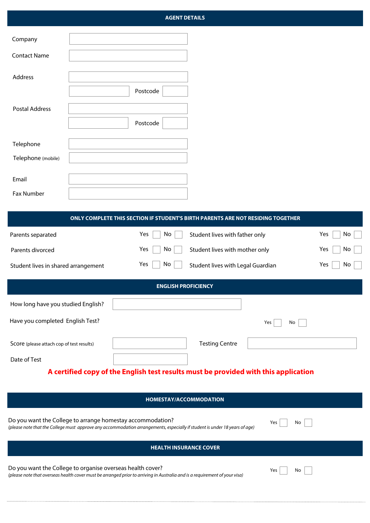# **AGENT DETAILS**

| Company               |          |
|-----------------------|----------|
| <b>Contact Name</b>   |          |
| Address               |          |
|                       | Postcode |
| <b>Postal Address</b> |          |
|                       | Postcode |
| Telephone             |          |
| Telephone (mobile)    |          |
| Email                 |          |
|                       |          |
| <b>Fax Number</b>     |          |

| ONLY COMPLETE THIS SECTION IF STUDENT'S BIRTH PARENTS ARE NOT RESIDING TOGETHER     |           |                                   |                                |            |  |  |
|-------------------------------------------------------------------------------------|-----------|-----------------------------------|--------------------------------|------------|--|--|
| Parents separated                                                                   | Yes<br>No | Student lives with father only    |                                | Yes<br>No. |  |  |
| Yes<br>No<br>Parents divorced                                                       |           |                                   | Student lives with mother only |            |  |  |
| Yes<br>No<br>Student lives in shared arrangement                                    |           | Student lives with Legal Guardian | Yes<br>No                      |            |  |  |
| <b>ENGLISH PROFICIENCY</b>                                                          |           |                                   |                                |            |  |  |
| How long have you studied English?                                                  |           |                                   |                                |            |  |  |
| Have you completed English Test?                                                    |           |                                   | Yes<br>No                      |            |  |  |
| Score (please attach cop of test results)                                           |           | <b>Testing Centre</b>             |                                |            |  |  |
| Date of Test                                                                        |           |                                   |                                |            |  |  |
| A certified copy of the English test results must be provided with this application |           |                                   |                                |            |  |  |

| <b>HOMESTAY/ACCOMMODATION</b>                                                                                              |     |  |  |  |
|----------------------------------------------------------------------------------------------------------------------------|-----|--|--|--|
| Do you want the College to arrange homestay accommodation?                                                                 | Yes |  |  |  |
| (please note that the College must approve any accommodation arrangements, especially if student is under 18 years of age) | No  |  |  |  |
| <b>HEALTH INSURANCE COVER</b>                                                                                              |     |  |  |  |
| Do you want the College to organise overseas health cover?                                                                 | Yes |  |  |  |
| (please note that overseas health cover must be arranged prior to arriving in Australia and is a requirement of your visa) | No  |  |  |  |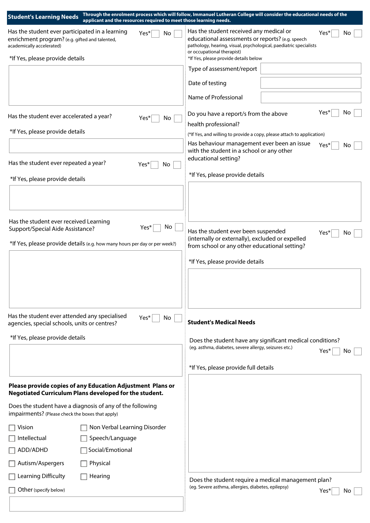| <b>Student's Learning Needs</b><br>applicant and the resources required to meet those learning needs.                                        | Through the enrolment process which will follow, Immanuel Lutheran College will consider the educational needs of the                                                                                  |     |
|----------------------------------------------------------------------------------------------------------------------------------------------|--------------------------------------------------------------------------------------------------------------------------------------------------------------------------------------------------------|-----|
| Has the student ever participated in a learning<br>Yes*<br>No<br>enrichment program? (e.g. gifted and talented,<br>academically accelerated) | Has the student received any medical or<br>Yes*<br>educational assessments or reports? (e.g. speech<br>pathology, hearing, visual, psychological, paediatric specialists<br>or occupational therapist) | No  |
| *If Yes, please provide details                                                                                                              | *If Yes, please provide details below<br>Type of assessment/report                                                                                                                                     |     |
|                                                                                                                                              | Date of testing                                                                                                                                                                                        |     |
|                                                                                                                                              | Name of Professional                                                                                                                                                                                   |     |
|                                                                                                                                              |                                                                                                                                                                                                        |     |
| Has the student ever accelerated a year?<br>Yes*<br>No.                                                                                      | Yes'<br>Do you have a report/s from the above                                                                                                                                                          | No  |
| *If Yes, please provide details                                                                                                              | health professional?<br>(*If Yes, and willing to provide a copy, please attach to application)                                                                                                         |     |
|                                                                                                                                              | Has behaviour management ever been an issue<br>Yes*<br>with the student in a school or any other                                                                                                       | No  |
| Has the student ever repeated a year?<br>Yes*<br>No                                                                                          | educational setting?                                                                                                                                                                                   |     |
| *If Yes, please provide details                                                                                                              | *If Yes, please provide details                                                                                                                                                                        |     |
|                                                                                                                                              |                                                                                                                                                                                                        |     |
| Has the student ever received Learning<br>No.<br>Yes*<br>Support/Special Aide Assistance?                                                    | Has the student ever been suspended<br>Yes*                                                                                                                                                            | No  |
| *If Yes, please provide details (e.g. how many hours per day or per week?)                                                                   | (internally or externally), excluded or expelled<br>from school or any other educational setting?                                                                                                      |     |
|                                                                                                                                              | *If Yes, please provide details                                                                                                                                                                        |     |
|                                                                                                                                              |                                                                                                                                                                                                        |     |
| Has the student ever attended any specialised<br>Yes*<br>No<br>agencies, special schools, units or centres?                                  | <b>Student's Medical Needs</b>                                                                                                                                                                         |     |
| *If Yes, please provide details                                                                                                              | Does the student have any significant medical conditions?                                                                                                                                              |     |
|                                                                                                                                              | (eg. asthma, diabetes, severe allergy, seizures etc.)<br>Yes*                                                                                                                                          | Νo  |
|                                                                                                                                              | *If Yes, please provide full details                                                                                                                                                                   |     |
| Please provide copies of any Education Adjustment Plans or<br>Negotiated Curriculum Plans developed for the student.                         |                                                                                                                                                                                                        |     |
| Does the student have a diagnosis of any of the following<br>impairments? (Please check the boxes that apply)                                |                                                                                                                                                                                                        |     |
| Non Verbal Learning Disorder<br>Vision                                                                                                       |                                                                                                                                                                                                        |     |
| Intellectual<br>Speech/Language                                                                                                              |                                                                                                                                                                                                        |     |
| Social/Emotional<br>ADD/ADHD                                                                                                                 |                                                                                                                                                                                                        |     |
| Autism/Aspergers<br>Physical                                                                                                                 |                                                                                                                                                                                                        |     |
| Learning Difficulty<br>Hearing                                                                                                               | Does the student require a medical management plan?                                                                                                                                                    |     |
| Other (specify below)                                                                                                                        | (eg. Severe asthma, allergies, diabetes, epilepsy)<br>Yes*                                                                                                                                             | No. |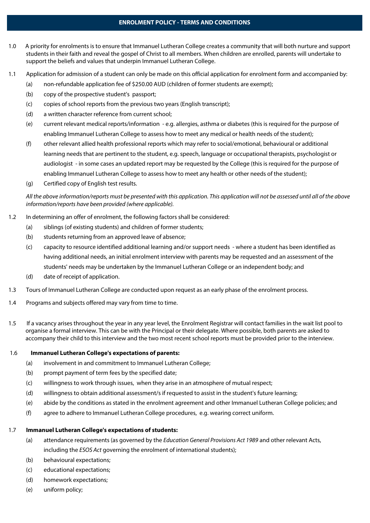## **ENROLMENT POLICY - TERMS AND CONDITIONS**

- 1.0 A priority for enrolments is to ensure that Immanuel Lutheran College creates a community that will both nurture and support students in their faith and reveal the gospel of Christ to all members. When children are enrolled, parents will undertake to support the beliefs and values that underpin Immanuel Lutheran College.
- 1.1 Application for admission of a student can only be made on this official application for enrolment form and accompanied by:
	- (a) non-refundable application fee of \$250.00 AUD (children of former students are exempt);
	- (b) copy of the prospective student's passport;
	- (c) copies of school reports from the previous two years (English transcript);
	- (d) a written character reference from current school;
	- (e) current relevant medical reports/information e.g. allergies, asthma or diabetes (this is required for the purpose of enabling Immanuel Lutheran College to assess how to meet any medical or health needs of the student);
	- (f) other relevant allied health professional reports which may refer to social/emotional, behavioural or additional learning needs that are pertinent to the student, e.g. speech, language or occupational therapists, psychologist or audiologist - in some cases an updated report may be requested by the College (this is required for the purpose of enabling Immanuel Lutheran College to assess how to meet any health or other needs of the student);
	- (g) Certified copy of English test results.

*All the above information/reports must be presented with this application. This application will not be assessed until all of the above information/reports have been provided (where applicable).* 

- 1.2 In determining an offer of enrolment, the following factors shall be considered:
	- (a) siblings (of existing students) and children of former students;
	- (b) students returning from an approved leave of absence;
	- (c) capacity to resource identified additional learning and/or support needs where a student has been identified as having additional needs, an initial enrolment interview with parents may be requested and an assessment of the students' needs may be undertaken by the Immanuel Lutheran College or an independent body; and
	- (d) date of receipt of application.
- 1.3 Tours of Immanuel Lutheran College are conducted upon request as an early phase of the enrolment process.
- 1.4 Programs and subjects offered may vary from time to time.
- 1.5 If a vacancy arises throughout the year in any year level, the Enrolment Registrar will contact families in the wait list pool to organise a formal interview. This can be with the Principal or their delegate. Where possible, both parents are asked to accompany their child to this interview and the two most recent school reports must be provided prior to the interview.

#### 1.6 **Immanuel Lutheran College's expectations of parents:**

- (a) involvement in and commitment to Immanuel Lutheran College;
- (b) prompt payment of term fees by the specified date;
- (c) willingness to work through issues, when they arise in an atmosphere of mutual respect;
- (d) willingness to obtain additional assessment/s if requested to assist in the student's future learning;
- (e) abide by the conditions as stated in the enrolment agreement and other Immanuel Lutheran College policies; and
- (f) agree to adhere to Immanuel Lutheran College procedures, e.g. wearing correct uniform.

## 1.7 **Immanuel Lutheran College's expectations of students:**

- (a) attendance requirements (as governed by the *Education General Provisions Act 1989* and other relevant Acts, including the *ESOS Act* governing the enrolment of international students);
- (b) behavioural expectations:
- (c) educational expectations;
- (d) homework expectations;
- (e) uniform policy;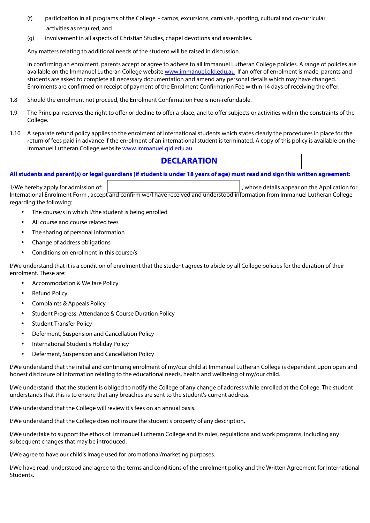- (f) participation in all programs of the College camps, excursions, carnivals, sporting, cultural and co-curricular activities as required; and
- (g) involvement in all aspects of Christian Studies, chapel devotions and assemblies.

Any matters relating to additional needs of the student will be raised in discussion.

In confirming an enrolment, parents accept or agree to adhere to all Immanuel Lutheran College policies. A range of policies are available on the Immanuel Lutheran College website [www.immanuel.qld.edu.au](http://www.immanuel.qld.edu.au) If an offer of enrolment is made, parents and students are asked to complete all necessary documentation and amend any personal details which may have changed. Enrolments are confirmed on receipt of payment of the Enrolment Confirmation Fee within 14 days of receiving the offer.

- 1.8 Should the enrolment not proceed, the Enrolment Confirmation Fee is non-refundable.
- 1.9 The Principal reserves the right to offer or decline to offer a place, and to offer subjects or activities within the constraints of the College.
- 1.10 A separate refund policy applies to the enrolment of international students which states clearly the procedures in place for the return of fees paid in advance if the enrolment of an international student is terminated. A copy of this policy is available on the Immanuel Lutheran College website www.immanuel.qld.edu.au

# **DECLARATION**

**All students and parent(s) or legal guardians (if student is under 18 years of age) must read and sign this written agreement:** 

I/We hereby apply for admission of:  $\parallel$ International Enrolment Form , accept and confirm we/I have received and understood information from Immanuel Lutheran College regarding the following:

- The course/s in which I/the student is being enrolled
- All course and course related fees
- The sharing of personal information
- Change of address obligations
- Conditions on enrolment in this course/s

I/We understand that it is a condition of enrolment that the student agrees to abide by all College policies for the duration of their enrolment. These are:

- Accommodation & Welfare Policy
- **Refund Policy**
- Complaints & Appeals Policy
- Student Progress, Attendance & Course Duration Policy
- **Student Transfer Policy**
- Deferment, Suspension and Cancellation Policy
- International Student's Holiday Policy
- Deferment, Suspension and Cancellation Policy

I/We understand that the initial and continuing enrolment of my/our child at Immanuel Lutheran College is dependent upon open and honest disclosure of information relating to the educational needs, health and wellbeing of my/our child.

I/We understand that the student is obliged to notify the College of any change of address while enrolled at the College. The student understands that this is to ensure that any breaches are sent to the student's current address.

I/We understand that the College will review it's fees on an annual basis.

I/We understand that the College does not insure the student's property of any description.

I/We undertake to support the ethos of Immanuel Lutheran College and its rules, regulations and work programs, including any subsequent changes that may be introduced.

I/We agree to have our child's image used for promotional/marketing purposes.

I/We have read, understood and agree to the terms and conditions of the enrolment policy and the Written Agreement for International Students.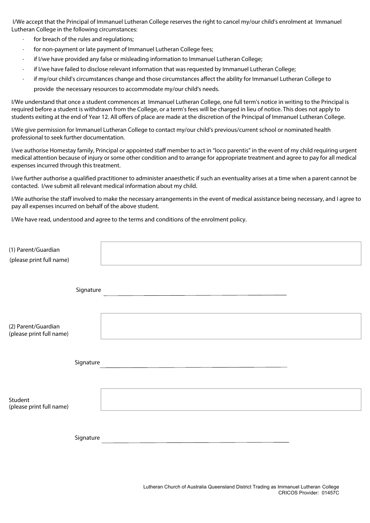I/We accept that the Principal of Immanuel Lutheran College reserves the right to cancel my/our child's enrolment at Immanuel Lutheran College in the following circumstances:

- for breach of the rules and regulations;
- for non-payment or late payment of Immanuel Lutheran College fees;
- · if I/we have provided any false or misleading information to Immanuel Lutheran College;
- · if I/we have failed to disclose relevant information that was requested by Immanuel Lutheran College;
- · if my/our child's circumstances change and those circumstances affect the ability for Immanuel Lutheran College to provide the necessary resources to accommodate my/our child's needs.

I/We understand that once a student commences at Immanuel Lutheran College, one full term's notice in writing to the Principal is required before a student is withdrawn from the College, or a term's fees will be charged in lieu of notice. This does not apply to students exiting at the end of Year 12. All offers of place are made at the discretion of the Principal of Immanuel Lutheran College.

I/We give permission for Immanuel Lutheran College to contact my/our child's previous/current school or nominated health professional to seek further documentation.

I/we authorise Homestay family, Principal or appointed staff member to act in "loco parentis" in the event of my child requiring urgent medical attention because of injury or some other condition and to arrange for appropriate treatment and agree to pay for all medical expenses incurred through this treatment.

I/we further authorise a qualified practitioner to administer anaesthetic if such an eventuality arises at a time when a parent cannot be contacted. I/we submit all relevant medical information about my child.

I/We authorise the staff involved to make the necessary arrangements in the event of medical assistance being necessary, and I agree to pay all expenses incurred on behalf of the above student.

I/We have read, understood and agree to the terms and conditions of the enrolment policy.

| (1) Parent/Guardian<br>(please print full name) |           |
|-------------------------------------------------|-----------|
|                                                 | Signature |
| (2) Parent/Guardian<br>(please print full name) |           |
|                                                 | Signature |
| Student<br>(please print full name)             |           |
|                                                 | Signature |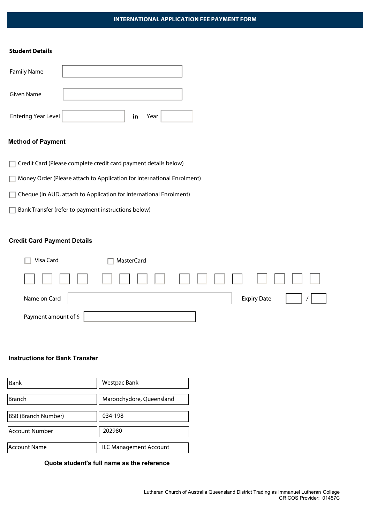## **INTERNATIONAL APPLICATION FEE PAYMENT FORM**

#### **Student Details**

| <b>Family Name</b>  |    |      |  |
|---------------------|----|------|--|
| Given Name          |    |      |  |
| Entering Year Level | in | Year |  |

## **Method of Payment**

- Credit Card (Please complete credit card payment details below)
- Money Order (Please attach to Application for International Enrolment)
- Cheque (In AUD, attach to Application for International Enrolment)
- $\Box$  Bank Transfer (refer to payment instructions below)

# **Credit Card Payment Details**

| Visa Card            | <b>MasterCard</b> |                    |  |
|----------------------|-------------------|--------------------|--|
|                      |                   |                    |  |
| Name on Card         |                   | <b>Expiry Date</b> |  |
| Payment amount of \$ |                   |                    |  |

#### **Instructions for Bank Transfer**

| Bank                       | Westpac Bank             |
|----------------------------|--------------------------|
| <b>Branch</b>              | Maroochydore, Queensland |
| <b>BSB (Branch Number)</b> | 034-198                  |
| <b>Account Number</b>      | 202980                   |
| Account Name               | ILC Management Account   |

**Quote student's full name as the reference**